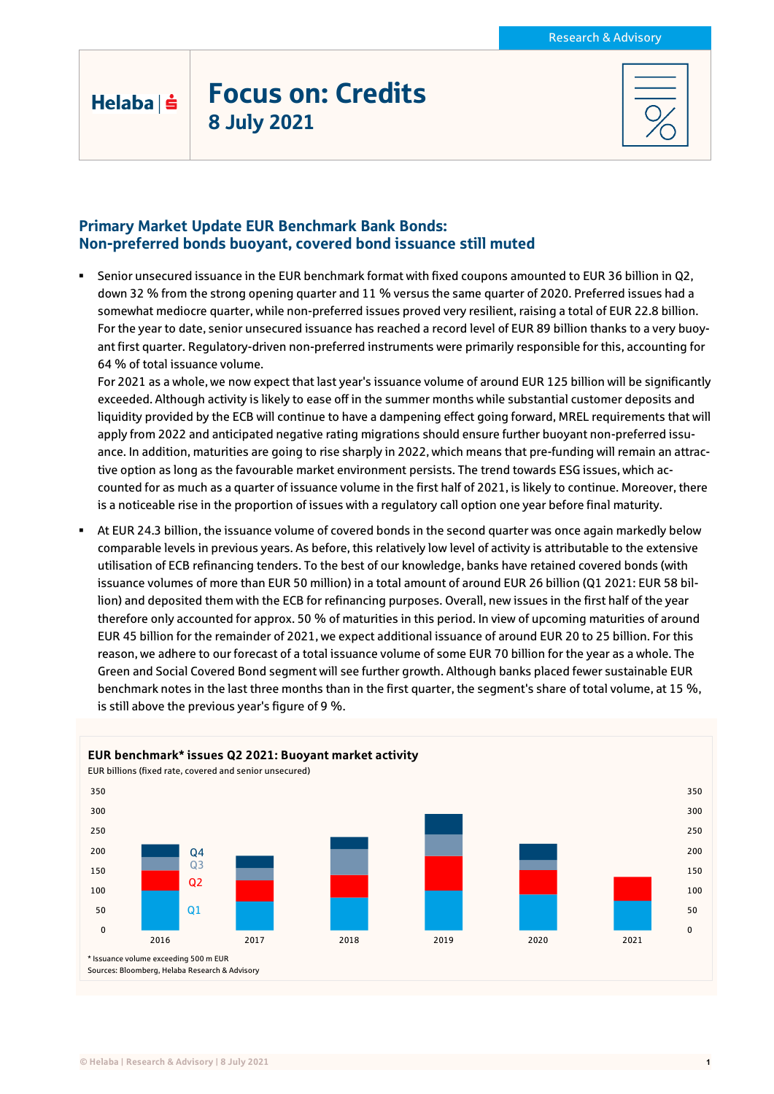# Focus on: Credits 8 July 2021

Helaba | s

### Primary Market Update EUR Benchmark Bank Bonds: Non-preferred bonds buoyant, covered bond issuance still muted

 Senior unsecured issuance in the EUR benchmark format with fixed coupons amounted to EUR 36 billion in Q2, down 32 % from the strong opening quarter and 11 % versus the same quarter of 2020. Preferred issues had a somewhat mediocre quarter, while non-preferred issues proved very resilient, raising a total of EUR 22.8 billion. For the year to date, senior unsecured issuance has reached a record level of EUR 89 billion thanks to a very buoyant first quarter. Regulatory-driven non-preferred instruments were primarily responsible for this, accounting for 64 % of total issuance volume.

For 2021 as a whole, we now expect that last year's issuance volume of around EUR 125 billion will be significantly exceeded. Although activity is likely to ease off in the summer months while substantial customer deposits and liquidity provided by the ECB will continue to have a dampening effect going forward, MREL requirements that will apply from 2022 and anticipated negative rating migrations should ensure further buoyant non-preferred issuance. In addition, maturities are going to rise sharply in 2022, which means that pre-funding will remain an attractive option as long as the favourable market environment persists. The trend towards ESG issues, which accounted for as much as a quarter of issuance volume in the first half of 2021, is likely to continue. Moreover, there is a noticeable rise in the proportion of issues with a regulatory call option one year before final maturity.

 At EUR 24.3 billion, the issuance volume of covered bonds in the second quarter was once again markedly below comparable levels in previous years. As before, this relatively low level of activity is attributable to the extensive utilisation of ECB refinancing tenders. To the best of our knowledge, banks have retained covered bonds (with issuance volumes of more than EUR 50 million) in a total amount of around EUR 26 billion (Q1 2021: EUR 58 billion) and deposited them with the ECB for refinancing purposes. Overall, new issues in the first half of the year therefore only accounted for approx. 50 % of maturities in this period. In view of upcoming maturities of around EUR 45 billion for the remainder of 2021, we expect additional issuance of around EUR 20 to 25 billion. For this reason, we adhere to our forecast of a total issuance volume of some EUR 70 billion for the year as a whole. The Green and Social Covered Bond segment will see further growth. Although banks placed fewer sustainable EUR benchmark notes in the last three months than in the first quarter, the segment's share of total volume, at 15 %, is still above the previous year's figure of 9 %.

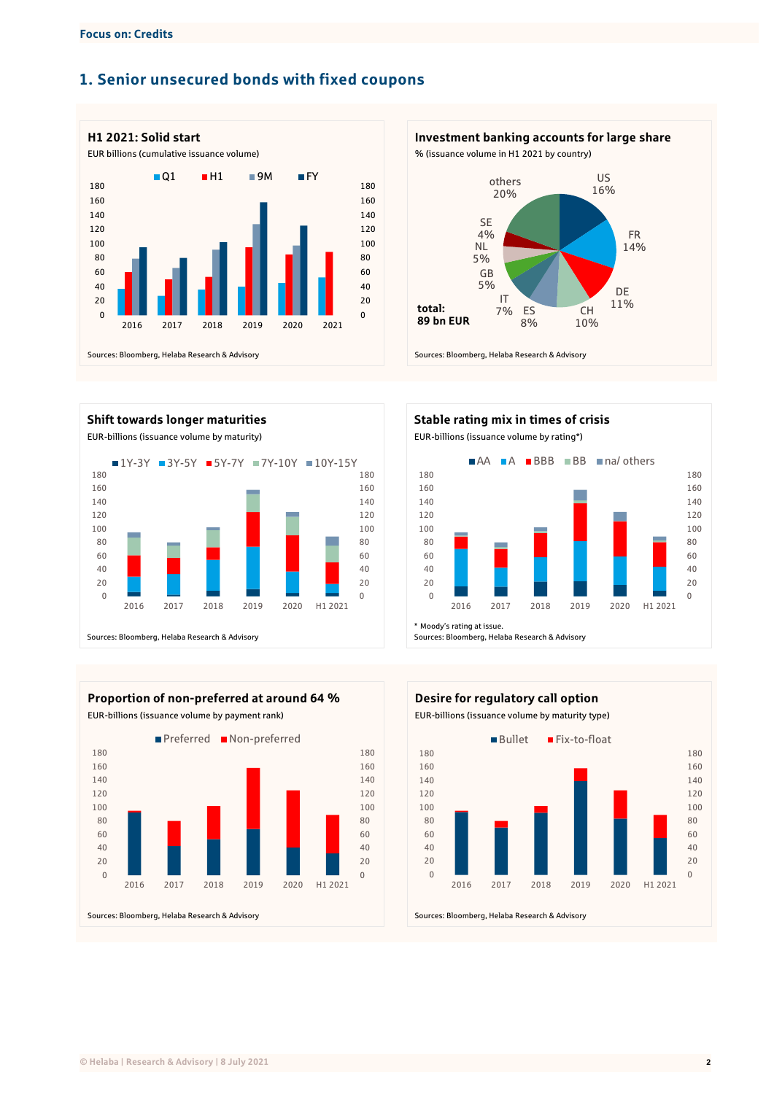### **1. Senior unsecured bonds with fixed coupons**





**Shift towards longer maturities Stable rating mix in times of crisis** EUR-billions (issuance volume by maturity) EUR-billions (issuance volume by rating\*) Sources: Bloomberg, Helaba Research & Advisory  $\Omega$  2017 2018 2019 2020 H1 2021 ■1Y-3Y ■3Y-5Y ■5Y-7Y ■7Y-10Y ■10Y-15Y



EUR-billions (issuance volume by payment rank) EUR-billions (issuance volume by maturity type)





Sources: Bloomberg, Helaba Research & Advisory



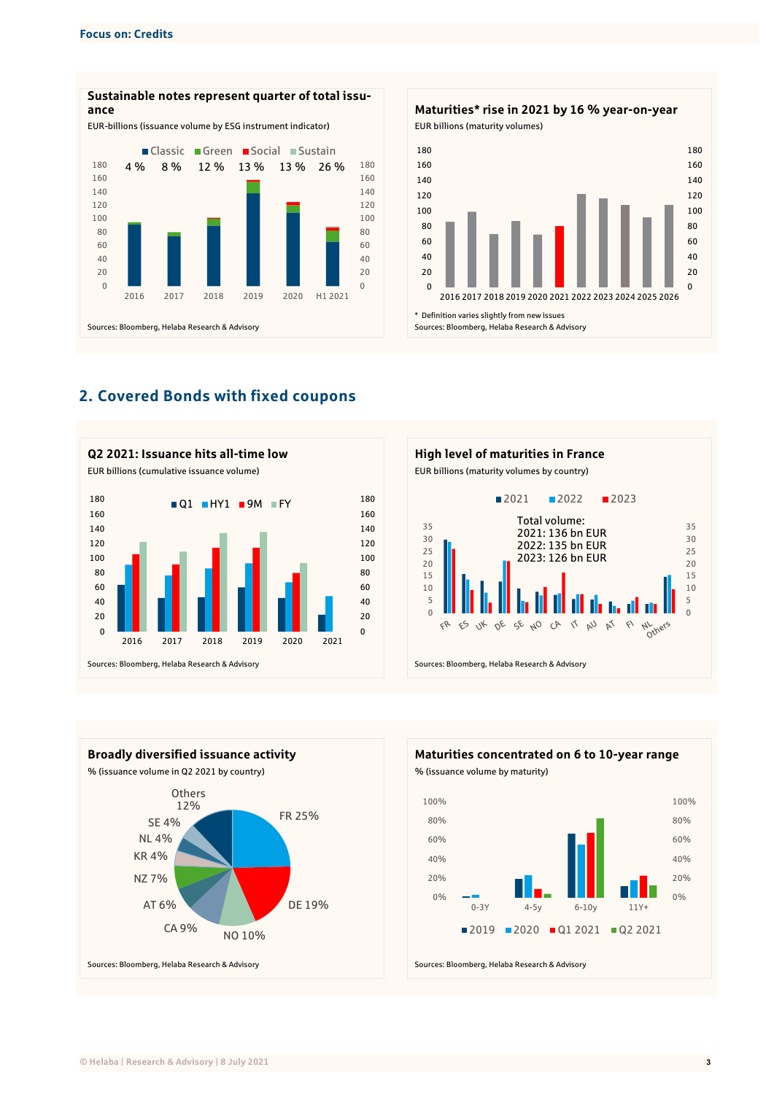



## **2. Covered Bonds with fixed coupons**







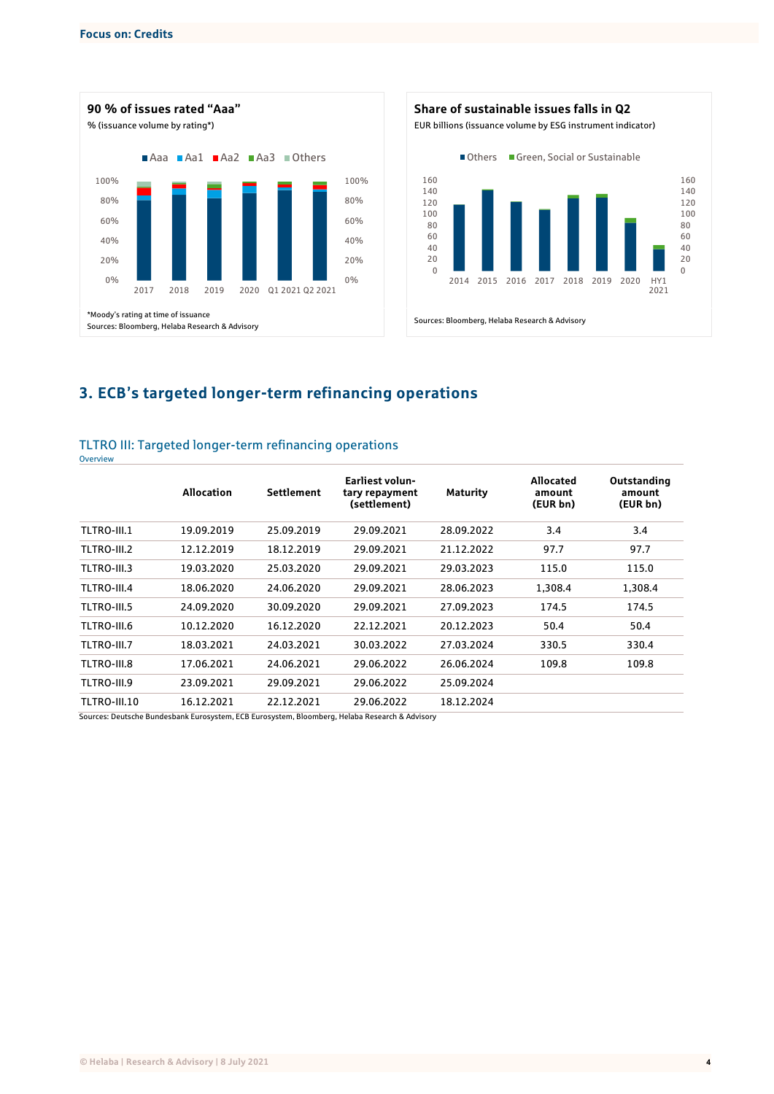**Overview** 





# **3. ECB's targeted longer-term refinancing operations**

#### TLTRO III: Targeted longer-term refinancing operations

|              | <b>Allocation</b> | <b>Settlement</b> | <b>Earliest volun-</b><br>tary repayment<br>(settlement) | <b>Maturity</b> | Allocated<br>amount<br>(EUR bn) | Outstanding<br>amount<br>(EUR bn) |
|--------------|-------------------|-------------------|----------------------------------------------------------|-----------------|---------------------------------|-----------------------------------|
| TLTRO-III.1  | 19.09.2019        | 25.09.2019        | 29.09.2021                                               | 28.09.2022      | 3.4                             | 3.4                               |
| TLTRO-III.2  | 12.12.2019        | 18.12.2019        | 29.09.2021                                               | 21.12.2022      | 97.7                            | 97.7                              |
| TLTRO-III.3  | 19.03.2020        | 25.03.2020        | 29.09.2021                                               | 29.03.2023      | 115.0                           | 115.0                             |
| TLTRO-III.4  | 18.06.2020        | 24.06.2020        | 29.09.2021                                               | 28.06.2023      | 1.308.4                         | 1.308.4                           |
| TLTRO-III.5  | 24.09.2020        | 30.09.2020        | 29.09.2021                                               | 27.09.2023      | 174.5                           | 174.5                             |
| TLTRO-III.6  | 10.12.2020        | 16.12.2020        | 22.12.2021                                               | 20.12.2023      | 50.4                            | 50.4                              |
| TLTRO-III.7  | 18.03.2021        | 24.03.2021        | 30.03.2022                                               | 27.03.2024      | 330.5                           | 330.4                             |
| TLTRO-III.8  | 17.06.2021        | 24.06.2021        | 29.06.2022                                               | 26.06.2024      | 109.8                           | 109.8                             |
| TLTRO-III.9  | 23.09.2021        | 29.09.2021        | 29.06.2022                                               | 25.09.2024      |                                 |                                   |
| TLTRO-III.10 | 16.12.2021        | 22.12.2021        | 29.06.2022                                               | 18.12.2024      |                                 |                                   |

Sources: Deutsche Bundesbank Eurosystem, ECB Eurosystem, Bloomberg, Helaba Research & Advisory